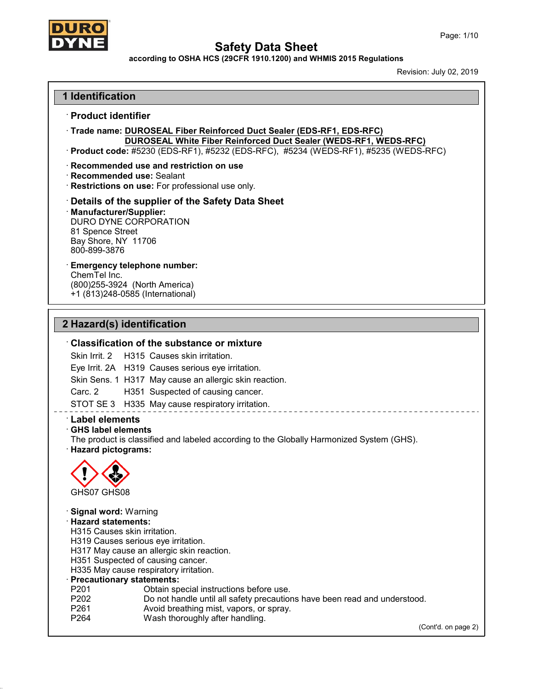

**according to OSHA HCS (29CFR 1910.1200) and WHMIS 2015 Regulations**

Revision: July 02,2019

# **1 Identification**

### · **Product identifier**

· **Trade name: DUROSEAL Fiber Reinforced Duct Sealer (EDS-RF1, EDS-RFC) DUROSEAL White Fiber Reinforced Duct Sealer (WEDS-RF1, WEDS-RFC)**

· **Product code:** #5230 (EDS-RF1), #5232 (EDS-RFC), #5234 (WEDS-RF1), #5235 (WEDS-RFC)

#### · **Recommended use and restriction on use**

· **Recommended use:** Sealant

· **Restrictions on use:** For professional use only.

# · **Details of the supplier of the Safety Data Sheet**

· **Manufacturer/Supplier:** DURO DYNE CORPORATION 81 Spence Street Bay Shore, NY 11706 800-899-3876

# · **Emergency telephone number:**

ChemTel Inc. (800)255-3924 (North America) +1 (813)248-0585 (International)

# **2 Hazard(s) identification**

### · **Classification of the substance or mixture**

Skin Irrit. 2 H315 Causes skin irritation. Eye Irrit. 2A H319 Causes serious eye irritation. Skin Sens. 1 H317 May cause an allergic skin reaction. Carc. 2 H351 Suspected of causing cancer.

STOT SE 3 H335 May cause respiratory irritation.

# · **Label elements**

#### · **GHS label elements**

The product is classified and labeled according to the Globally Harmonized System (GHS).

· **Hazard pictograms:**



49.0.14

· **Signal word:** Warning · **Hazard statements:** H315 Causes skin irritation. H319 Causes serious eye irritation. H317 May cause an allergic skin reaction. H351 Suspected of causing cancer. H335 May cause respiratory irritation.

# · **Precautionary statements:**

- P201 **Detain special instructions before use.**<br>P202 Do not handle until all safety precaution
- P202 Do not handle until all safety precautions have been read and understood.<br>P261 P261
- P261 **Avoid breathing mist, vapors, or spray.**<br>P264 Wash thoroughly after handling.
- Wash thoroughly after handling.

(Cont'd. on page 2)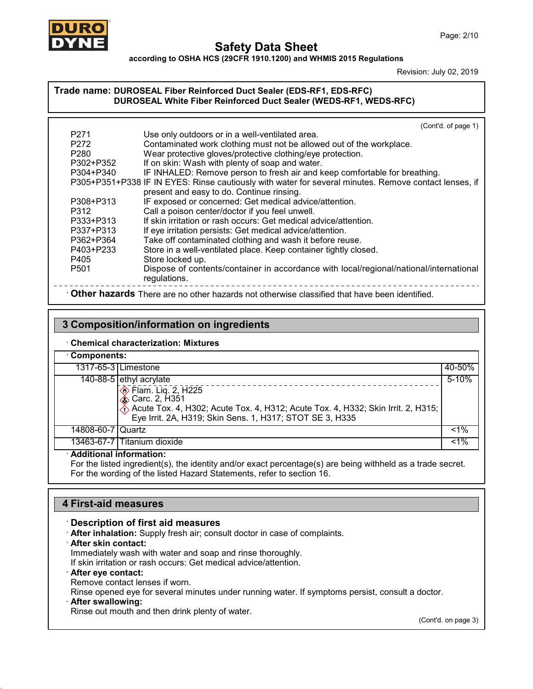

**according to OSHA HCS (29CFR 1910.1200) and WHMIS 2015 Regulations**

Revision: July 02,2019

# **Trade name: DUROSEAL Fiber Reinforced Duct Sealer (EDS-RF1, EDS-RFC) DUROSEAL White Fiber Reinforced Duct Sealer (WEDS-RF1, WEDS-RFC)**

|                  | (Cont'd. of page 1)                                                                                   |
|------------------|-------------------------------------------------------------------------------------------------------|
| P <sub>271</sub> | Use only outdoors or in a well-ventilated area.                                                       |
| P <sub>272</sub> | Contaminated work clothing must not be allowed out of the workplace.                                  |
| P <sub>280</sub> | Wear protective gloves/protective clothing/eye protection.                                            |
| P302+P352        | If on skin: Wash with plenty of soap and water.                                                       |
| P304+P340        | IF INHALED: Remove person to fresh air and keep comfortable for breathing.                            |
|                  | P305+P351+P338 IF IN EYES: Rinse cautiously with water for several minutes. Remove contact lenses, if |
|                  | present and easy to do. Continue rinsing.                                                             |
| P308+P313        | IF exposed or concerned: Get medical advice/attention.                                                |
| P312             | Call a poison center/doctor if you feel unwell.                                                       |
| P333+P313        | If skin irritation or rash occurs: Get medical advice/attention.                                      |
| P337+P313        | If eye irritation persists: Get medical advice/attention.                                             |
| P362+P364        | Take off contaminated clothing and wash it before reuse.                                              |
| P403+P233        | Store in a well-ventilated place. Keep container tightly closed.                                      |
| P405             | Store locked up.                                                                                      |
| P <sub>501</sub> | Dispose of contents/container in accordance with local/regional/national/international                |
|                  | regulations.                                                                                          |
|                  | Other hazards There are no other hazards not otherwise classified that have been identified.          |

# **3 Composition/information on ingredients**

### · **Chemical characterization: Mixtures**

| Components:         |                                                                                                                                                                                                                                                     |        |  |
|---------------------|-----------------------------------------------------------------------------------------------------------------------------------------------------------------------------------------------------------------------------------------------------|--------|--|
|                     | 1317-65-3 Limestone                                                                                                                                                                                                                                 | 40-50% |  |
|                     | $\overline{140-88-5}$ ethyl acrylate<br>$\circledcirc$ Flam. Liq. 2, H225<br><b>♦ Carc. 2, H351</b><br>Acute Tox. 4, H302; Acute Tox. 4, H312; Acute Tox. 4, H332; Skin Irrit. 2, H315;<br>Eye Irrit. 2A, H319; Skin Sens. 1, H317; STOT SE 3, H335 | 5-10%  |  |
| 14808-60-7   Quartz |                                                                                                                                                                                                                                                     | $1\%$  |  |
|                     | 13463-67-7 Titanium dioxide                                                                                                                                                                                                                         | $1\%$  |  |

# · **Additional information:**

For the listed ingredient(s), the identity and/or exact percentage(s) are being withheld as a trade secret. For the wording of the listed Hazard Statements, refer to section 16.

# **4 First-aid measures**

# · **Description of first aid measures**

- · **After inhalation:** Supply fresh air; consult doctor in case of complaints.
- · **After skin contact:**

Immediately wash with water and soap and rinse thoroughly.

If skin irritation or rash occurs: Get medical advice/attention.

# · **After eye contact:**

Remove contact lenses if worn.

Rinse opened eye for several minutes under running water. If symptoms persist, consult a doctor.

# · **After swallowing:**

49.0.14

Rinse out mouth and then drink plenty of water.

(Cont'd. on page 3)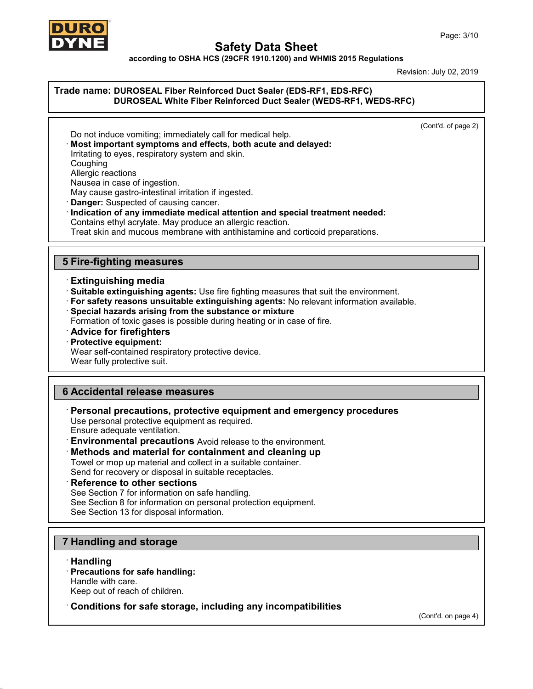

**according to OSHA HCS (29CFR 1910.1200) and WHMIS 2015 Regulations**

Revision: July 02,2019

### **Trade name: DUROSEAL Fiber Reinforced Duct Sealer (EDS-RF1, EDS-RFC) DUROSEAL White Fiber Reinforced Duct Sealer (WEDS-RF1, WEDS-RFC)**

(Cont'd. of page 2)

Do not induce vomiting; immediately call for medical help. · **Most important symptoms and effects, both acute and delayed:** Irritating to eyes, respiratory system and skin. Coughing Allergic reactions Nausea in case of ingestion. May cause gastro-intestinal irritation if ingested. · **Danger:** Suspected of causing cancer.

· **Indication of any immediate medical attention and special treatment needed:** Contains ethyl acrylate. May produce an allergic reaction. Treat skin and mucous membrane with antihistamine and corticoid preparations.

# **5 Fire-fighting measures**

### · **Extinguishing media**

· **Suitable extinguishing agents:** Use fire fighting measures that suit the environment.

- · **For safety reasons unsuitable extinguishing agents:** No relevant information available.
- · **Special hazards arising from the substance or mixture**

Formation of toxic gases is possible during heating or in case of fire.

- · **Advice for firefighters**
- · **Protective equipment:**

Wear self-contained respiratory protective device.

Wear fully protective suit.

# **6 Accidental release measures**

· **Personal precautions, protective equipment and emergency procedures**

Use personal protective equipment as required. Ensure adequate ventilation.

· **Environmental precautions** Avoid release to the environment.

# · **Methods and material for containment and cleaning up**

Towel or mop up material and collect in a suitable container. Send for recovery or disposal in suitable receptacles.

#### · **Reference to other sections**

See Section 7 for information on safe handling.

See Section 8 for information on personal protection equipment.

See Section 13 for disposal information.

# **7 Handling and storage**

# · **Handling**

49.0.14

· **Precautions for safe handling:** Handle with care. Keep out of reach of children.

· **Conditions for safe storage, including any incompatibilities**

(Cont'd. on page 4)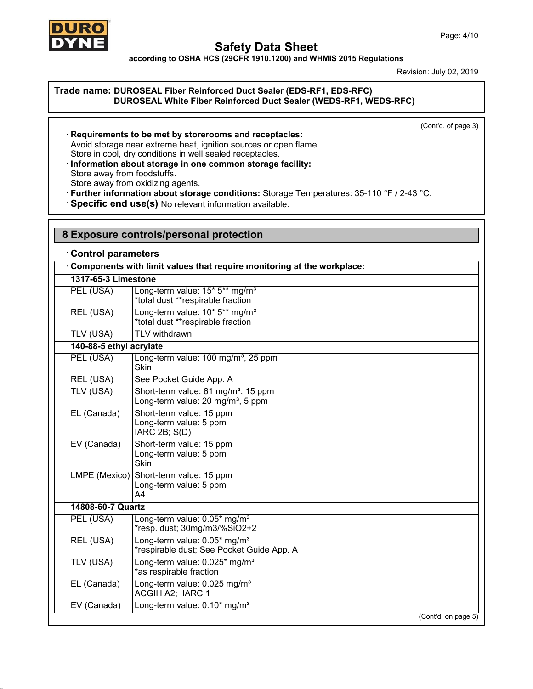

49.0.14

# **Safety Data Sheet**

**according to OSHA HCS (29CFR 1910.1200) and WHMIS 2015 Regulations**

Revision: July 02,2019

# **Trade name: DUROSEAL Fiber Reinforced Duct Sealer (EDS-RF1, EDS-RFC) DUROSEAL White Fiber Reinforced Duct Sealer (WEDS-RF1, WEDS-RFC)**

(Cont'd. of page 3)

· **Requirements to be met by storerooms and receptacles:** Avoid storage near extreme heat, ignition sources or open flame. Store in cool, dry conditions in well sealed receptacles. · **Information about storage in one common storage facility:**

Store away from foodstuffs.

Store away from oxidizing agents.

- · **Further information about storage conditions:** Storage Temperatures: 35-110 °F / 2-43 °C.
- · **Specific end use(s)** No relevant information available.

|                           | 8 Exposure controls/personal protection                                                          |
|---------------------------|--------------------------------------------------------------------------------------------------|
| <b>Control parameters</b> |                                                                                                  |
|                           | Components with limit values that require monitoring at the workplace:                           |
| 1317-65-3 Limestone       |                                                                                                  |
| PEL (USA)                 | Long-term value: 15* 5** mg/m <sup>3</sup><br>*total dust **respirable fraction                  |
| REL (USA)                 | Long-term value: 10* 5** mg/m <sup>3</sup><br>*total dust **respirable fraction                  |
| TLV (USA)                 | TLV withdrawn                                                                                    |
| 140-88-5 ethyl acrylate   |                                                                                                  |
| PEL (USA)                 | Long-term value: 100 mg/m <sup>3</sup> , 25 ppm<br>Skin                                          |
| REL (USA)                 | See Pocket Guide App. A                                                                          |
| TLV (USA)                 | Short-term value: 61 mg/m <sup>3</sup> , 15 ppm<br>Long-term value: 20 mg/m <sup>3</sup> , 5 ppm |
| EL (Canada)               | Short-term value: 15 ppm<br>Long-term value: 5 ppm<br>IARC 2B; S(D)                              |
| EV (Canada)               | Short-term value: 15 ppm<br>Long-term value: 5 ppm<br><b>Skin</b>                                |
|                           | LMPE (Mexico) Short-term value: 15 ppm<br>Long-term value: 5 ppm<br>A4                           |
| 14808-60-7 Quartz         |                                                                                                  |
| PEL (USA)                 | Long-term value: 0.05* mg/m <sup>3</sup><br>*resp. dust; 30mg/m3/%SiO2+2                         |
| REL (USA)                 | Long-term value: 0.05* mg/m <sup>3</sup><br>*respirable dust; See Pocket Guide App. A            |
| TLV (USA)                 | Long-term value: 0.025* mg/m <sup>3</sup><br>*as respirable fraction                             |
| EL (Canada)               | Long-term value: 0.025 mg/m <sup>3</sup><br>ACGIH A2; IARC 1                                     |
| EV (Canada)               | Long-term value: 0.10* mg/m <sup>3</sup>                                                         |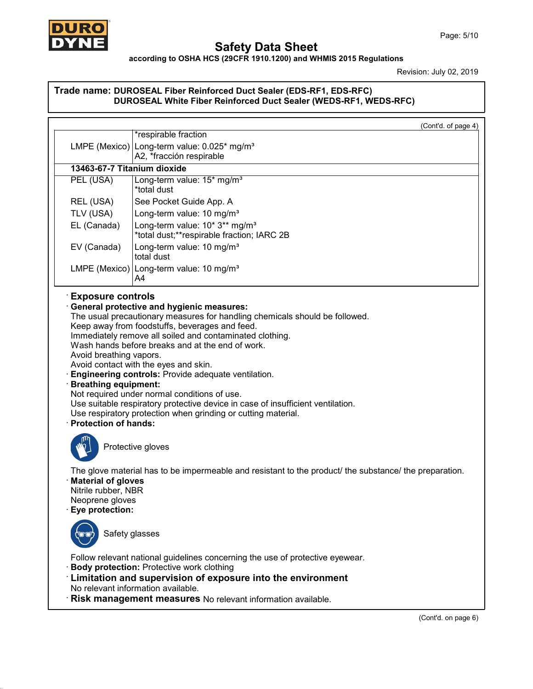

49.0.14

# **Safety Data Sheet**

# **according to OSHA HCS (29CFR 1910.1200) and WHMIS 2015 Regulations**

Revision: July 02, 2019

# **Trade name: DUROSEAL Fiber Reinforced Duct Sealer (EDS-RF1, EDS-RFC) DUROSEAL White Fiber Reinforced Duct Sealer (WEDS-RF1, WEDS-RFC)**

|                                                                                     | (Cont'd. of page 4)                                                                                                                                                                                                                                                                                                                                                                                                                   |
|-------------------------------------------------------------------------------------|---------------------------------------------------------------------------------------------------------------------------------------------------------------------------------------------------------------------------------------------------------------------------------------------------------------------------------------------------------------------------------------------------------------------------------------|
|                                                                                     | *respirable fraction                                                                                                                                                                                                                                                                                                                                                                                                                  |
|                                                                                     | LMPE (Mexico) Long-term value: 0.025* mg/m <sup>3</sup><br>A2, *fracción respirable                                                                                                                                                                                                                                                                                                                                                   |
| 13463-67-7 Titanium dioxide                                                         |                                                                                                                                                                                                                                                                                                                                                                                                                                       |
| PEL (USA)                                                                           | Long-term value: 15* mg/m <sup>3</sup><br>*total dust                                                                                                                                                                                                                                                                                                                                                                                 |
| REL (USA)                                                                           | See Pocket Guide App. A                                                                                                                                                                                                                                                                                                                                                                                                               |
| TLV (USA)                                                                           | Long-term value: 10 mg/m <sup>3</sup>                                                                                                                                                                                                                                                                                                                                                                                                 |
| EL (Canada)                                                                         | Long-term value: 10* 3** mg/m <sup>3</sup><br>*total dust;**respirable fraction; IARC 2B                                                                                                                                                                                                                                                                                                                                              |
| EV (Canada)                                                                         | Long-term value: 10 mg/m <sup>3</sup><br>total dust                                                                                                                                                                                                                                                                                                                                                                                   |
|                                                                                     | LMPE (Mexico) Long-term value: 10 mg/m <sup>3</sup><br>A4                                                                                                                                                                                                                                                                                                                                                                             |
| Avoid breathing vapors.<br><b>Breathing equipment:</b><br>· Protection of hands:    | Immediately remove all soiled and contaminated clothing.<br>Wash hands before breaks and at the end of work.<br>Avoid contact with the eyes and skin.<br>Engineering controls: Provide adequate ventilation.<br>Not required under normal conditions of use.<br>Use suitable respiratory protective device in case of insufficient ventilation.<br>Use respiratory protection when grinding or cutting material.<br>Protective gloves |
| · Material of gloves<br>Nitrile rubber, NBR<br>Neoprene gloves<br>· Eye protection: | The glove material has to be impermeable and resistant to the product the substance the preparation.                                                                                                                                                                                                                                                                                                                                  |
| Safety glasses                                                                      |                                                                                                                                                                                                                                                                                                                                                                                                                                       |
|                                                                                     | Follow relevant national guidelines concerning the use of protective eyewear.                                                                                                                                                                                                                                                                                                                                                         |
|                                                                                     | <b>Body protection: Protective work clothing</b><br>: Limitation and supervision of exposure into the environment<br>No relevant information available.<br>Risk management measures No relevant information available.                                                                                                                                                                                                                |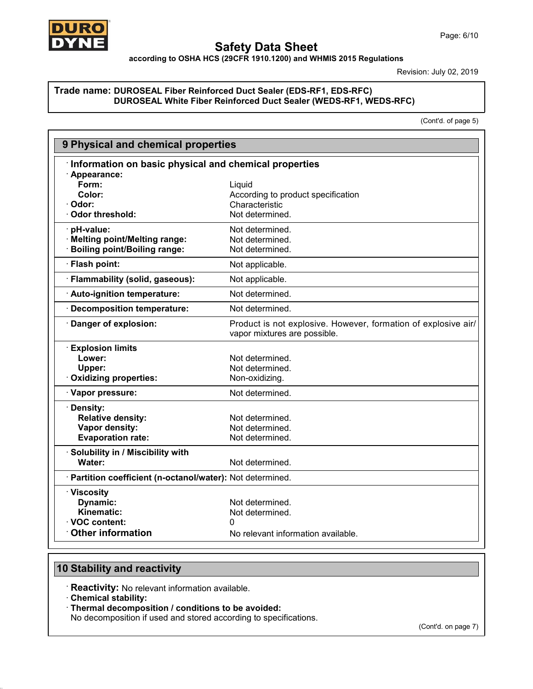

Revision: July 02,2019

### **Trade name: DUROSEAL Fiber Reinforced Duct Sealer (EDS-RF1, EDS-RFC) DUROSEAL White Fiber Reinforced Duct Sealer (WEDS-RF1, WEDS-RFC)**

(Cont'd. of page 5)

| 9 Physical and chemical properties                         |                                                                                                |
|------------------------------------------------------------|------------------------------------------------------------------------------------------------|
| Information on basic physical and chemical properties      |                                                                                                |
| · Appearance:                                              |                                                                                                |
| Form:                                                      | Liquid                                                                                         |
| Color:                                                     | According to product specification                                                             |
| · Odor:                                                    | Characteristic                                                                                 |
| · Odor threshold:                                          | Not determined.                                                                                |
| pH-value:                                                  | Not determined.                                                                                |
| · Melting point/Melting range:                             | Not determined.                                                                                |
| <b>Boiling point/Boiling range:</b>                        | Not determined.                                                                                |
| · Flash point:                                             | Not applicable.                                                                                |
| · Flammability (solid, gaseous):                           | Not applicable.                                                                                |
| · Auto-ignition temperature:                               | Not determined.                                                                                |
| <b>Decomposition temperature:</b>                          | Not determined.                                                                                |
| · Danger of explosion:                                     | Product is not explosive. However, formation of explosive air/<br>vapor mixtures are possible. |
| <b>Explosion limits</b>                                    |                                                                                                |
| Lower:                                                     | Not determined.                                                                                |
| Upper:                                                     | Not determined.                                                                                |
| · Oxidizing properties:                                    | Non-oxidizing.                                                                                 |
| · Vapor pressure:                                          | Not determined.                                                                                |
| · Density:                                                 |                                                                                                |
| <b>Relative density:</b>                                   | Not determined.                                                                                |
| Vapor density:                                             | Not determined.                                                                                |
| <b>Evaporation rate:</b>                                   | Not determined.                                                                                |
| · Solubility in / Miscibility with                         |                                                                                                |
| Water:                                                     | Not determined.                                                                                |
| · Partition coefficient (n-octanol/water): Not determined. |                                                                                                |
| · Viscosity                                                |                                                                                                |
| Dynamic:                                                   | Not determined.                                                                                |
| Kinematic:                                                 | Not determined.                                                                                |
| ⋅ VOC content:                                             | n                                                                                              |
| <b>Other information</b>                                   | No relevant information available.                                                             |

# **10 Stability and reactivity**

· **Reactivity:** No relevant information available.

· **Chemical stability:**

49.0.14

· **Thermal decomposition / conditions to be avoided:**

No decomposition if used and stored according to specifications.

(Cont'd. on page 7)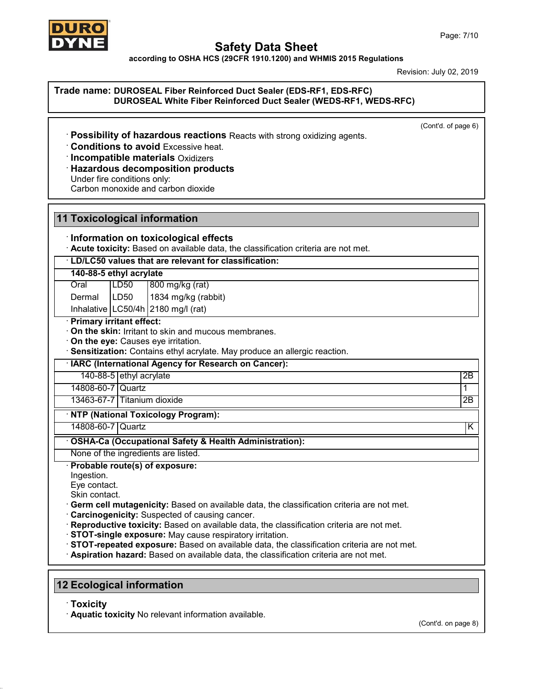

**according to OSHA HCS (29CFR 1910.1200) and WHMIS 2015 Regulations**

Revision: July 02,2019

### **Trade name: DUROSEAL Fiber Reinforced Duct Sealer (EDS-RF1, EDS-RFC) DUROSEAL White Fiber Reinforced Duct Sealer (WEDS-RF1, WEDS-RFC)**

(Cont'd. of page 6)

· **Possibility of hazardous reactions** Reacts with strong oxidizing agents.

· **Conditions to avoid** Excessive heat.

· **Incompatible materials** Oxidizers

### · **Hazardous decomposition products**

Under fire conditions only:

Carbon monoxide and carbon dioxide

# **11 Toxicological information**

### · **Information on toxicological effects**

· **Acute toxicity:** Based on available data, the classification criteria are not met.

· **LD/LC50 values that are relevant for classification:**

### **140-88-5 ethyl acrylate**

Oral LD50 800 mg/kg (rat)

Dermal | LD50 | 1834 mg/kg (rabbit)

Inhalative  $\lfloor$  LC50/4h $\rfloor$ 2180 mg/l (rat)

### · **Primary irritant effect:**

· **On the skin:** Irritant to skin and mucous membranes.

· **On the eye:** Causes eye irritation.

· **Sensitization:** Contains ethyl acrylate. May produce an allergic reaction.

· **IARC (International Agency for Research on Cancer):**

140-88-5 ethyl acrylate 2B

14808-60-7 Quartz 1

13463-67-7 Titanium dioxide 2B

### · **NTP (National Toxicology Program):**

14808-60-7 Quartz K

· **OSHA-Ca (Occupational Safety & Health Administration):**

None of the ingredients are listed.

· **Probable route(s) of exposure:**

- Ingestion.
- Eye contact.

Skin contact.

· **Germ cell mutagenicity:** Based on available data, the classification criteria are not met.

· **Carcinogenicity:** Suspected of causing cancer.

- · **Reproductive toxicity:** Based on available data, the classification criteria are not met.
- · **STOT-single exposure:** May cause respiratory irritation.
- · **STOT-repeated exposure:** Based on available data, the classification criteria are not met.

· **Aspiration hazard:** Based on available data, the classification criteria are not met.

# **12 Ecological information**

· **Toxicity**

49.0.14

· **Aquatic toxicity** No relevant information available.

(Cont'd. on page 8)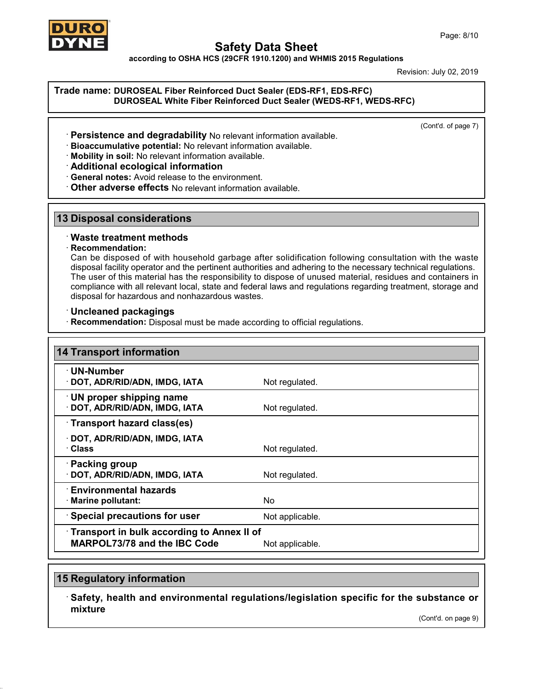

**according to OSHA HCS (29CFR 1910.1200) and WHMIS 2015 Regulations**

Revision: July 02,2019

### **Trade name: DUROSEAL Fiber Reinforced Duct Sealer (EDS-RF1, EDS-RFC) DUROSEAL White Fiber Reinforced Duct Sealer (WEDS-RF1, WEDS-RFC)**

(Cont'd. of page 7)

- · **Persistence and degradability** No relevant information available.
- · **Bioaccumulative potential:** No relevant information available.
- · **Mobility in soil:** No relevant information available.
- · **Additional ecological information**
- · **General notes:** Avoid release to the environment.
- · **Other adverse effects** No relevant information available.

# **13 Disposal considerations**

### · **Waste treatment methods**

### · **Recommendation:**

Can be disposed of with household garbage after solidification following consultation with the waste disposal facility operator and the pertinent authorities and adhering to the necessary technical regulations. The user of this material has the responsibility to dispose of unused material, residues and containers in compliance with all relevant local, state and federal laws and regulations regarding treatment, storage and disposal for hazardous and nonhazardous wastes.

### · **Uncleaned packagings**

· **Recommendation:** Disposal must be made according to official regulations.

| <b>14 Transport information</b>                                                   |                 |
|-----------------------------------------------------------------------------------|-----------------|
| · UN-Number<br>· DOT, ADR/RID/ADN, IMDG, IATA                                     | Not regulated.  |
| UN proper shipping name<br>· DOT, ADR/RID/ADN, IMDG, IATA                         | Not regulated.  |
| Transport hazard class(es)                                                        |                 |
| · DOT, ADR/RID/ADN, IMDG, IATA<br>· Class                                         | Not regulated.  |
| · Packing group<br>· DOT, ADR/RID/ADN, IMDG, IATA                                 | Not regulated.  |
| ∴ Environmental hazards<br>· Marine pollutant:                                    | No.             |
| <b>Special precautions for user</b>                                               | Not applicable. |
| Transport in bulk according to Annex II of<br><b>MARPOL73/78 and the IBC Code</b> | Not applicable. |

# **15 Regulatory information**

49.0.14

· **Safety, health and environmental regulations/legislation specific for the substance or mixture**

(Cont'd. on page 9)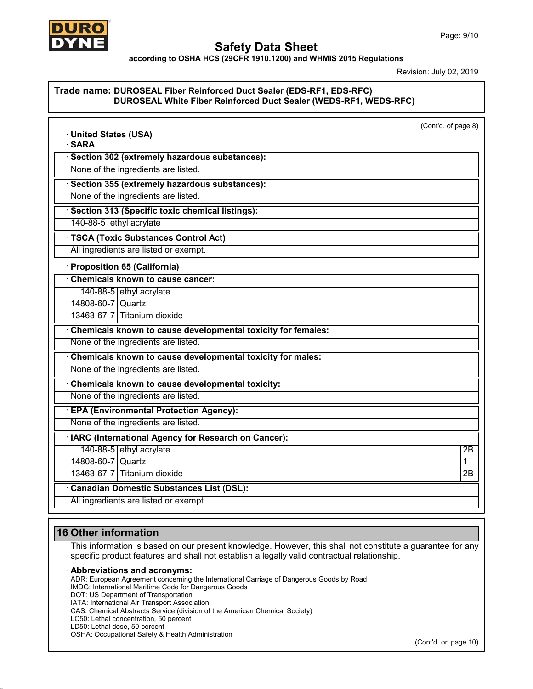

**according to OSHA HCS (29CFR 1910.1200) and WHMIS 2015 Regulations**

Revision: July 02, 2019

### **Trade name: DUROSEAL Fiber Reinforced Duct Sealer (EDS-RF1, EDS-RFC) DUROSEAL White Fiber Reinforced Duct Sealer (WEDS-RF1, WEDS-RFC)**

| · United States (USA)                                        | (Cont'd. of page 8) |
|--------------------------------------------------------------|---------------------|
| · SARA                                                       |                     |
| · Section 302 (extremely hazardous substances):              |                     |
| None of the ingredients are listed.                          |                     |
| · Section 355 (extremely hazardous substances):              |                     |
| None of the ingredients are listed.                          |                     |
| Section 313 (Specific toxic chemical listings):              |                     |
| 140-88-5 ethyl acrylate                                      |                     |
| <b>TSCA (Toxic Substances Control Act)</b>                   |                     |
| All ingredients are listed or exempt.                        |                     |
| · Proposition 65 (California)                                |                     |
| Chemicals known to cause cancer:                             |                     |
| 140-88-5 ethyl acrylate                                      |                     |
| 14808-60-7 Quartz                                            |                     |
| 13463-67-7 Titanium dioxide                                  |                     |
| Chemicals known to cause developmental toxicity for females: |                     |
| None of the ingredients are listed.                          |                     |
| Chemicals known to cause developmental toxicity for males:   |                     |
| None of the ingredients are listed.                          |                     |
| Chemicals known to cause developmental toxicity:             |                     |
| None of the ingredients are listed.                          |                     |
| <b>EPA (Environmental Protection Agency):</b>                |                     |
| None of the ingredients are listed.                          |                     |
| · IARC (International Agency for Research on Cancer):        |                     |
| 140-88-5 ethyl acrylate                                      | $\overline{2B}$     |
| 14808-60-7 Quartz                                            | 1                   |
| 13463-67-7 Titanium dioxide                                  | $\overline{2B}$     |
| <b>Canadian Domestic Substances List (DSL):</b>              |                     |
| All ingredients are listed or exempt.                        |                     |

# **16 Other information**

This information is based on our present knowledge. However, this shall not constitute a guarantee for any specific product features and shall not establish a legally valid contractual relationship.

#### · **Abbreviations and acronyms:**

ADR: European Agreement concerning the International Carriage of Dangerous Goods by Road

- IMDG: International Maritime Code for Dangerous Goods
- DOT: US Department of Transportation

IATA: International Air Transport Association

CAS: Chemical Abstracts Service (division of the American Chemical Society)

LC50: Lethal concentration, 50 percent

LD50: Lethal dose, 50 percent

49.0.14

OSHA: Occupational Safety & Health Administration

(Cont'd. on page 10)